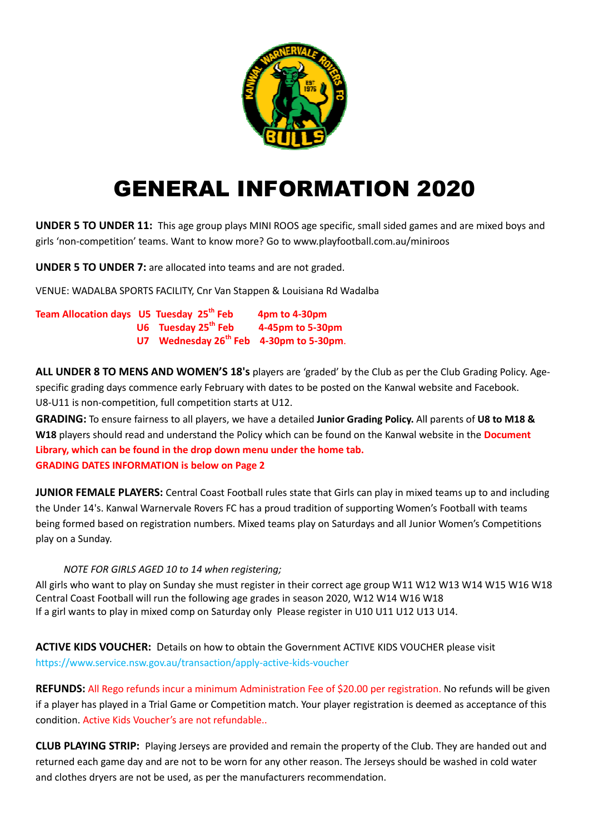

## GENERAL INFORMATION 2020

UNDER 5 TO UNDER 11: This age group plays MINI ROOS age specific, small sided games and are mixed boys and girls 'non-competition' teams. Want to know more? Go to www.playfootball.com.au/miniroos

UNDER 5 TO UNDER 7: are allocated into teams and are not graded.

VENUE: WADALBA SPORTS FACILITY, Cnr Van Stappen & Louisiana Rd Wadalba

| Team Allocation days U5 Tuesday 25 <sup>th</sup> Feb |                                                     | 4pm to 4-30pm    |
|------------------------------------------------------|-----------------------------------------------------|------------------|
|                                                      | U6 Tuesday 25 <sup>th</sup> Feb                     | 4-45pm to 5-30pm |
|                                                      | U7 Wednesday 26 <sup>th</sup> Feb 4-30pm to 5-30pm. |                  |

ALL UNDER 8 TO MENS AND WOMEN'S 18's players are 'graded' by the Club as per the Club Grading Policy. Agespecific grading days commence early February with dates to be posted on the Kanwal website and Facebook. Facebook. U8-U11 is non-competition, full competition starts at U12.

GRADING: To ensure fairness to all players, we have a detailed Junior Grading Policy. All parents of U8 to M18 & W18 players should read and understand the Policy which can be found on the Kanwal website in the Document Library, which can be found in the drop down menu under the home tab. Library, which can be found in the drop down menu<br>GRADING DATES INFORMATION is below on Page 2

JUNIOR FEMALE PLAYERS: Central Coast Football rules state that Girls can play in mixed teams up to and including the Under 14's. Kanwal Warnervale Rovers FC has a proud tradition of supporting Women's Football with teams being formed based on registration numbers. Mixed teams play on Saturdays and all Junior Women's Competitions play on a Sunday.

## NOTE FOR GIRLS AGED 10 to 14 when registering;

All girls who want to play on Sunday she must register in their correct age group W11 W12 W13 W14 W15 W16 W18 Central Coast Football will run the following age grades in season 2020, W12 W14 W16 W18 If a girl wants to play in mixed comp on Saturday only Please register in U10 U11 U12 U13 U14.

ACTIVE KIDS VOUCHER: Details on how to obtain the Government ACTIVE KIDS VOUCHER please visit https://www.service.nsw.gov.au/transaction/appl https://www.service.nsw.gov.au/transaction/apply-active-kids-voucher

REFUNDS: All Rego refunds incur a minimum Administration Fee of \$20.00 per registration. No refunds will be given if a player has played in a Trial Game or Competition match. Your player registration is deemed as acceptance of this condition. Active Kids Voucher's are not refundable..

CLUB PLAYING STRIP: Playing Jerseys are provided and remain the property of the Club. They are handed out and returned each game day and are not to be worn for any other reason. The Jerseys should be washed in cold water and clothes dryers are not be used, as per the manufacturers recommendation.